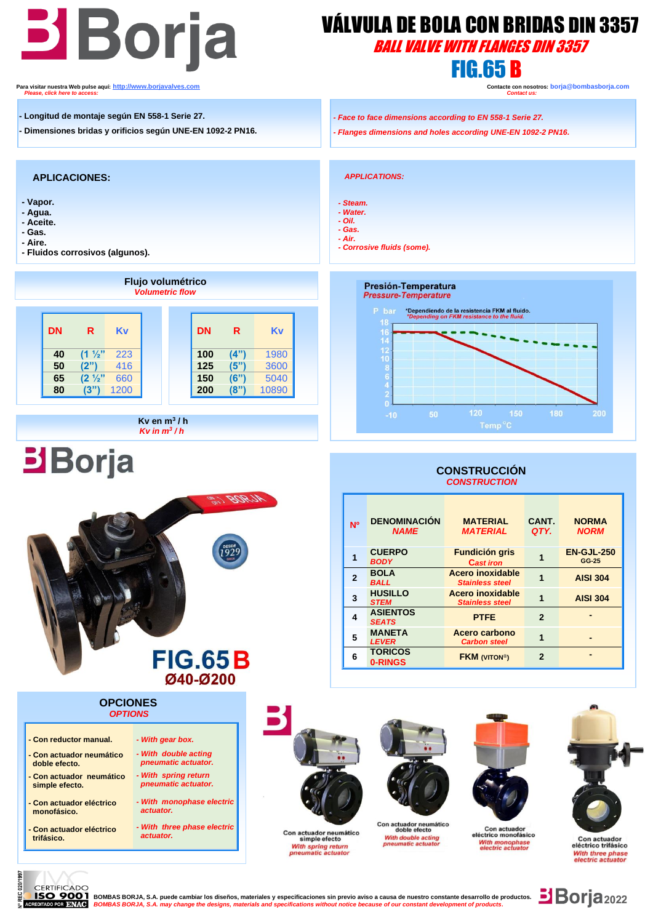# **Borja** VÁLVULA DE BOLA CON BR<br>BOTJA *BALL VALVE WITH FLANGE*

## VÁLVULA DE BOLA CON BRIDAS DIN 3357

BALL VALVE WITH FLANGES DIN 3357

**Para visitar nuestra Web pulse aquí:** <u>http://www.borjavalves.com</u> **Contacter contacte con nosotros: borja** @bombasborja.com **Please, click here to access: Contacter Contacte Contacte Contacte** Contactus: **Contact us:** *Please, click here to access: Contact us:*

- **- Longitud de montaje según EN 558-1 Serie 27.**
- **- Dimensiones bridas y orificios según UNE-EN 1092-2 PN16.**

#### **APLICACIONES:**

- **- Vapor.**
- **- Agua. - Aceite.**
- **- Gas.**
- **- Aire.**
- **- Fluidos corrosivos (algunos).**

 $\overline{\phantom{a}}$ 



*Kv en m<sup>3</sup>/h <i>Kv in m<sup>3</sup>/h* 



#### **OPCIONES**  *OPTIONS*

- **- Con reductor manual.**
- **- Con actuador neumático doble efecto.**
- **- Con actuador neumático simple efecto.**
- **- Con actuador eléctrico monofásico.**
- **- Con actuador eléctrico trifásico.**
- *- With spring return pneumatic actuator. - With monophase electric actuator. - With three phase electric*

*- With gear box. - With double acting pneumatic actuator.*

 *actuator.*



Con actuador neumático<br>simple efecto

With spring return<br>pneumatic actuate



With double acting

pneumatic actuato



Con actuador<br>eléctrico monofásico

With monophase<br>electric actuator



#### Con actuador eléctrico trifásico With three phase<br>electric actuator

020/1997 CERTIFICADO អ្ន

YOOT BOMBAS BORJA, S.A. puede cambiar los diseños, materiales y especificaciones sin previo aviso a causa de nuestro constante desarrollo de productos.<br>RENYKG BOMBAS BORJA, S.A. may change the designs, materials and specif

- *- Face to face dimensions according to EN 558-1 Serie 27.*
- *- Flanges dimensions and holes according UNE-EN 1092-2 PN16.*

 *APPLICATIONS:*

- *- Steam. - Water.*
- *- Oil.*
- *- Gas.*
- *- Air. - Corrosive fluids (some).*

## Presión-Temperatura **Pressure-Temperature** \*Dependiendo de la resistencia FKM al fluido<br>\*Depending on FKM resistance to the fluid.

#### **CONSTRUCCIÓN**  *CONSTRUCTION*

| <b>NO</b>    | <b>DENOMINACIÓN</b><br><b>NAME</b> | <b>MATERIAL</b><br><b>MATERIAL</b>         | CANT.<br>QTY.              | <b>NORMA</b><br><b>NORM</b> |
|--------------|------------------------------------|--------------------------------------------|----------------------------|-----------------------------|
|              | <b>CUERPO</b><br><b>BODY</b>       | <b>Fundición gris</b><br><b>Cast iron</b>  |                            | <b>EN-GJL-250</b><br>GG-25  |
| $\mathbf{2}$ | <b>BOLA</b><br><b>BALL</b>         | Acero inoxidable<br><b>Stainless steel</b> |                            | <b>AISI 304</b>             |
| 3            | <b>HUSILLO</b><br><b>STEM</b>      | Acero inoxidable<br><b>Stainless steel</b> |                            | <b>AISI 304</b>             |
|              | <b>ASIENTOS</b><br><b>SEATS</b>    | <b>PTFE</b>                                | $\overline{2}$             |                             |
| 5            | <b>MANETA</b><br><b>LEVER</b>      | Acero carbono<br><b>Carbon steel</b>       | 1                          |                             |
| 6            | <b>TORICOS</b><br>0-RINGS          | <b>FKM (VITON®)</b>                        | $\boldsymbol{\mathcal{P}}$ |                             |